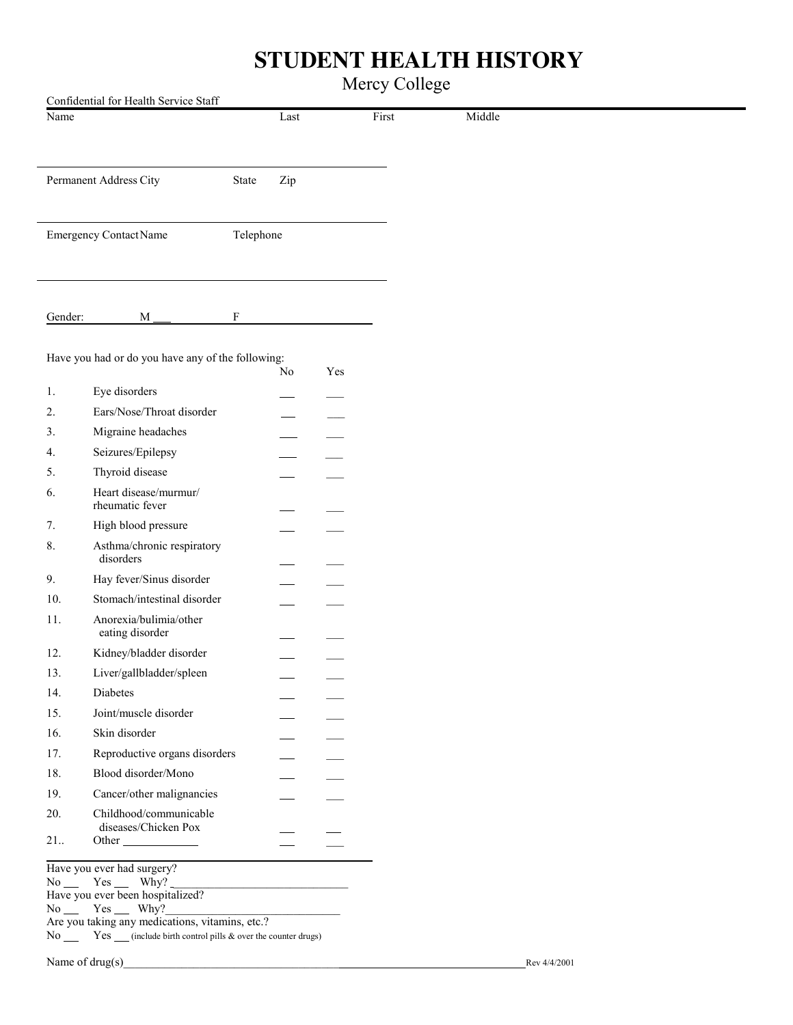## **STUDENT HEALTH HISTORY**

## Mercy College

|         | Confidential for Health Service Staff             |           |      |     |       |        |
|---------|---------------------------------------------------|-----------|------|-----|-------|--------|
| Name    |                                                   |           | Last |     | First | Middle |
|         |                                                   |           |      |     |       |        |
|         |                                                   |           |      |     |       |        |
|         | Permanent Address City                            | State     | Zip  |     |       |        |
|         |                                                   |           |      |     |       |        |
|         |                                                   |           |      |     |       |        |
|         | <b>Emergency Contact Name</b>                     | Telephone |      |     |       |        |
|         |                                                   |           |      |     |       |        |
|         |                                                   |           |      |     |       |        |
|         |                                                   |           |      |     |       |        |
| Gender: | M                                                 | F         |      |     |       |        |
|         |                                                   |           |      |     |       |        |
|         | Have you had or do you have any of the following: |           |      |     |       |        |
|         |                                                   |           | No   | Yes |       |        |
| 1.      | Eye disorders                                     |           |      |     |       |        |
| 2.      | Ears/Nose/Throat disorder                         |           |      |     |       |        |
| 3.      | Migraine headaches                                |           |      |     |       |        |
| 4.      | Seizures/Epilepsy                                 |           |      |     |       |        |
|         | Thyroid disease                                   |           |      |     |       |        |
| 5.      |                                                   |           |      |     |       |        |
| 6.      | Heart disease/murmur/<br>rheumatic fever          |           |      |     |       |        |
| 7.      | High blood pressure                               |           |      |     |       |        |
| 8.      | Asthma/chronic respiratory                        |           |      |     |       |        |
|         | disorders                                         |           |      |     |       |        |
| 9.      | Hay fever/Sinus disorder                          |           |      |     |       |        |
| 10.     | Stomach/intestinal disorder                       |           |      |     |       |        |
| 11.     | Anorexia/bulimia/other                            |           |      |     |       |        |
|         | eating disorder                                   |           |      |     |       |        |
| 12.     | Kidney/bladder disorder                           |           |      |     |       |        |
| 13.     | Liver/gallbladder/spleen                          |           |      |     |       |        |
| 14.     | Diabetes                                          |           |      |     |       |        |
| 15.     | Joint/muscle disorder                             |           |      |     |       |        |
| 16.     | Skin disorder                                     |           |      |     |       |        |
| 17.     | Reproductive organs disorders                     |           |      |     |       |        |
| 18.     | Blood disorder/Mono                               |           |      |     |       |        |
| 19.     | Cancer/other malignancies                         |           |      |     |       |        |
| 20.     | Childhood/communicable                            |           |      |     |       |        |
|         | diseases/Chicken Pox                              |           |      |     |       |        |
| 21      | Other                                             |           |      |     |       |        |
|         | Have you ever had surgery?                        |           |      |     |       |        |
|         | $No$ $Yes$ $Why?$                                 |           |      |     |       |        |
|         | Have you ever been hospitalized?                  |           |      |     |       |        |

 $No \_\_$  Yes  $\bigsqcup$  Why?

No  $\frac{1}{\sqrt{1-\frac{1}{\sqrt{1-\frac{1}{\sqrt{1-\frac{1}{\sqrt{1-\frac{1}{\sqrt{1-\frac{1}{\sqrt{1-\frac{1}{\sqrt{1-\frac{1}{\sqrt{1-\frac{1}{\sqrt{1-\frac{1}{\sqrt{1-\frac{1}{\sqrt{1-\frac{1}{\sqrt{1-\frac{1}{\sqrt{1-\frac{1}{\sqrt{1-\frac{1}{\sqrt{1-\frac{1}{\sqrt{1-\frac{1}{\sqrt{1-\frac{1}{\sqrt{1-\frac{1}{\sqrt{1-\frac{1}{\sqrt{1-\frac{1}{\sqrt{1-\frac{1}{\sqrt{1-\frac{1}{\sqrt{1-\frac{1}{\sqrt{1-\frac$ 

Are you taking any medications, vitamins, etc.?